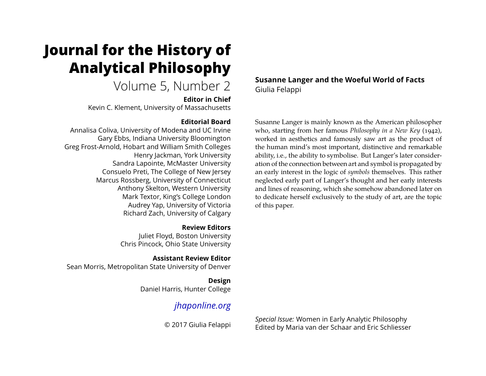# **Journal for the History of Analytical Philosophy**

# Volume 5, Number 2

**Editor in Chief**

Kevin C. Klement, University of Massachusetts

### **Editorial Board**

Annalisa Coliva, University of Modena and UC Irvine Gary Ebbs, Indiana University Bloomington Greg Frost-Arnold, Hobart and William Smith Colleges Henry Jackman, York University Sandra Lapointe, McMaster University Consuelo Preti, The College of New Jersey Marcus Rossberg, University of Connecticut Anthony Skelton, Western University Mark Textor, King's College London Audrey Yap, University of Victoria Richard Zach, University of Calgary

> **Review Editors** Juliet Floyd, Boston University Chris Pincock, Ohio State University

**Assistant Review Editor** Sean Morris, Metropolitan State University of Denver

> **Design** Daniel Harris, Hunter College

# *[jhaponline.org](https://jhaponline.org)*

© 2017 Giulia Felappi

**Susanne Langer and the Woeful World of Facts** Giulia Felappi

Susanne Langer is mainly known as the American philosopher who, starting from her famous *Philosophy in a New Key* (1942), worked in aesthetics and famously saw art as the product of the human mind's most important, distinctive and remarkable ability, i.e., the ability to symbolise. But Langer's later consideration of the connection between art and symbol is propagated by an early interest in the logic of *symbols* themselves. This rather neglected early part of Langer's thought and her early interests and lines of reasoning, which she somehow abandoned later on to dedicate herself exclusively to the study of art, are the topic of this paper.

*Special Issue:* Women in Early Analytic Philosophy Edited by Maria van der Schaar and Eric Schliesser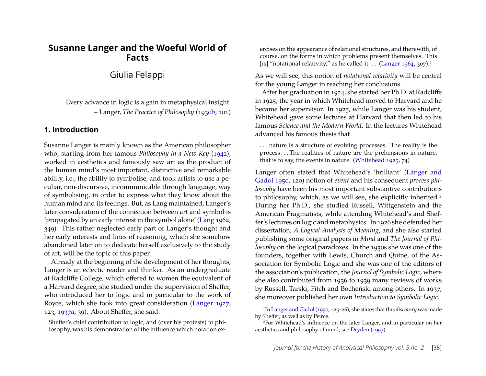## **Susanne Langer and the Woeful World of Facts**

Giulia Felappi

Every advance in logic is a gain in metaphysical insight. – Langer, *The Practice of Philosophy* [\(1930b,](#page-12-0) 101)

#### **1. Introduction**

Susanne Langer is mainly known as the American philosopher who, starting from her famous *Philosophy in a New Key* [\(1942\)](#page-12-1), worked in aesthetics and famously saw art as the product of the human mind's most important, distinctive and remarkable ability, i.e., the ability to symbolise, and took artists to use a peculiar, non-discursive, incommunicable through language, way of symbolising, in order to express what they know about the human mind and its feelings. But, as Lang maintained, Langer's later consideration of the connection between art and symbol is 'propagated by an early interest in the symbol alone' [\(Lang 1962,](#page-12-2) 349). This rather neglected early part of Langer's thought and her early interests and lines of reasoning, which she somehow abandoned later on to dedicate herself exclusively to the study of art, will be the topic of this paper.

Already at the beginning of the development of her thoughts, Langer is an eclectic reader and thinker. As an undergraduate at Radcliffe College, which offered to women the equivalent of a Harvard degree, she studied under the supervision of Sheffer, who introduced her to logic and in particular to the work of Royce, which she took into great consideration [\(Langer 1927,](#page-12-3) 123, [1937a,](#page-12-4) 39). About Sheffer, she said:

Sheffer's chief contribution to logic, and (over his protests) to philosophy, was his demonstration of the influence which notation ex-

ercises on the appearance of relational structures, and therewith, of course, on the forms in which problems present themselves. This [is] "notational relativity," as he called it . . . [\(Langer 1964,](#page-13-0) 307).<sup>[1](#page-1-0)</sup>

As we will see, this notion of *notational relativity* will be central for the young Langer in reaching her conclusions.

After her graduation in 1924, she started her Ph.D. at Radcliffe in 1925, the year in which Whitehead moved to Harvard and he became her supervisor. In 1925, while Langer was his student, Whitehead gave some lectures at Harvard that then led to his famous *Science and the Modern World*. In the lectures Whitehead advanced his famous thesis that

. . . nature is a structure of evolving processes. The reality is the process . . . The realities of nature are the prehensions in nature, that is to say, the events in nature. [\(Whitehead 1925,](#page-13-1) 74)

Langer often stated that Whitehead's 'brilliant' [\(Langer and](#page-13-2) [Gadol 1950,](#page-13-2) 120) notion of *event* and his consequent *process philosophy* have been his most important substantive contributions to philosophy, which, as we will see, she explicitly inherited.<sup>[2](#page-1-1)</sup> During her Ph.D., she studied Russell, Wittgenstein and the American Pragmatists, while attending Whitehead's and Sheffer's lectures on logic and metaphysics. In 1926 she defended her dissertation, *A Logical Analysis of Meaning*, and she also started publishing some original papers in *Mind* and *The Journal of Philosophy* on the logical paradoxes. In the 1930s she was one of the founders, together with Lewis, Church and Quine, of the Association for Symbolic Logic and she was one of the editors of the association's publication, the *Journal of Symbolic Logic*, where she also contributed from 1936 to 1939 many reviews of works by Russell, Tarski, Fitch and Bocheński among others. In 1937, she moreover published her own *Introduction to Symbolic Logic*.

<span id="page-1-0"></span><sup>1</sup>In [Langer and Gadol](#page-13-2) [\(1950,](#page-13-2) 125–26), she states that this *discovery* was made by Sheffer, as well as by Peirce.

<span id="page-1-1"></span><sup>2</sup>For Whitehead's influence on the later Langer, and in particular on her aesthetics and philosophy of mind, see [Dryden](#page-12-5) [\(1997\)](#page-12-5).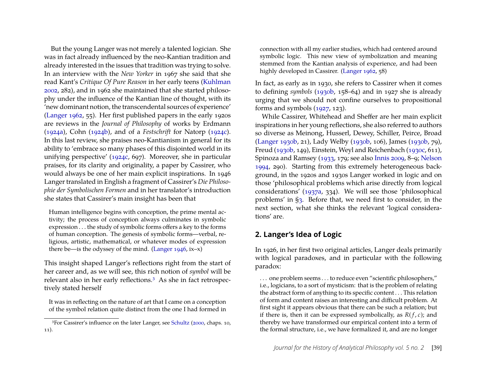But the young Langer was not merely a talented logician. She was in fact already influenced by the neo-Kantian tradition and already interested in the issues that tradition was trying to solve. In an interview with the *New Yorker* in 1967 she said that she read Kant's *Critique Of Pure Reason* in her early teens [\(Kuhlman](#page-12-6) [2002,](#page-12-6) 282), and in 1962 she maintained that she started philosophy under the influence of the Kantian line of thought, with its 'new dominant notion, the transcendental sources of experience' [\(Langer 1962,](#page-12-7) 55). Her first published papers in the early 1920s are reviews in the *Journal of Philosophy* of works by Erdmann [\(1924a\)](#page-12-8), Cohn [\(1924b\)](#page-12-9), and of a *Festschrift* for Natorp [\(1924c\)](#page-12-10). In this last review, she praises neo-Kantianism in general for its ability to 'embrace so many phases of this disjointed world in its unifying perspective' [\(1924c,](#page-12-10) 697). Moreover, she in particular praises, for its clarity and originality, a paper by Cassirer, who would always be one of her main explicit inspirations. In 1946 Langer translated in English a fragment of Cassirer's *Die Philosophie der Symbolischen Formen* and in her translator's introduction she states that Cassirer's main insight has been that

Human intelligence begins with conception, the prime mental activity; the process of conception always culminates in symbolic expression . . . the study of symbolic forms offers a key to the forms of human conception. The genesis of symbolic forms—verbal, religious, artistic, mathematical, or whatever modes of expression there be—is the odyssey of the mind. [\(Langer 1946,](#page-12-11) ix–x)

This insight shaped Langer's reflections right from the start of her career and, as we will see, this rich notion of *symbol* will be relevant also in her early reflections.[3](#page-2-0) As she in fact retrospectively stated herself

It was in reflecting on the nature of art that I came on a conception of the symbol relation quite distinct from the one I had formed in

connection with all my earlier studies, which had centered around symbolic logic. This new view of symbolization and meaning stemmed from the Kantian analysis of experience, and had been highly developed in Cassirer. [\(Langer 1962,](#page-12-7) 58)

In fact, as early as in 1930, she refers to Cassirer when it comes to defining *symbols* [\(1930b,](#page-12-0) 158–64) and in 1927 she is already urging that we should not confine ourselves to propositional forms and symbols [\(1927,](#page-12-3) 123).

While Cassirer, Whitehead and Sheffer are her main explicit inspirations in her young reflections, she also referred to authors so diverse as Meinong, Husserl, Dewey, Schiller, Peirce, Broad [\(Langer 1930b,](#page-12-0) 21), Lady Welby [\(1930b,](#page-12-0) 106), James [\(1930b,](#page-12-0) 79), Freud [\(1930b,](#page-12-0) 149), Einstein, Weyl and Reichenbach [\(1930c,](#page-12-12) 611), Spinoza and Ramsey [\(1933,](#page-12-13) 179; see also [Innis 2009,](#page-12-14) 8–9; [Nelson](#page-13-4) [1994,](#page-13-4) 290). Starting from this extremely heterogeneous background, in the 1920s and 1930s Langer worked in logic and on those 'philosophical problems which arise directly from logical considerations' [\(1937a,](#page-12-4) 334). We will see those 'philosophical problems' in [§3.](#page-5-0) Before that, we need first to consider, in the next section, what she thinks the relevant 'logical considerations' are.

#### **2. Langer's Idea of Logic**

In 1926, in her first two original articles, Langer deals primarily with logical paradoxes, and in particular with the following paradox:

. . . one problem seems . . . to reduce even "scientific philosophers," i.e., logicians, to a sort of mysticism: that is the problem of relating the abstract form of anything to its specific content . . . This relation of form and content raises an interesting and difficult problem. At first sight it appears obvious that there can be such a relation; but if there is, then it can be expressed symbolically, as  $R(f, c)$ ; and thereby we have transformed our empirical content into a term of the formal structure, i.e., we have formalized it, and are no longer

<span id="page-2-0"></span><sup>3</sup>For Cassirer's influence on the later Langer, see [Schultz](#page-13-3) [\(2000,](#page-13-3) chaps. 10, 11).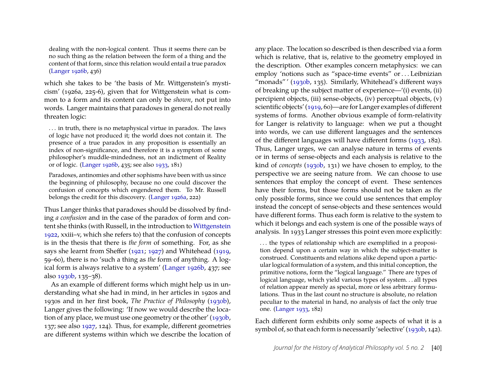dealing with the non-logical content. Thus it seems there can be no such thing as the relation between the form of a thing and the content of that form, since this relation would entail a true paradox [\(Langer 1926b,](#page-12-15) 436)

which she takes to be 'the basis of Mr. Wittgenstein's mysticism' (1926a, 225-6), given that for Wittgenstein what is common to a form and its content can only be *shown*, not put into words. Langer maintains that paradoxes in general do not really threaten logic:

. . . in truth, there is no metaphysical virtue in paradox. The laws of logic have not produced it; the world does not contain it. The presence of a true paradox in any proposition is essentially an index of non-significance, and therefore it is a symptom of some philosopher's muddle-mindedness, not an indictment of Reality or of logic. [\(Langer 1926b,](#page-12-15) 435; see also [1933,](#page-12-13) 181)

Paradoxes, antinomies and other sophisms have been with us since the beginning of philosophy, because no one could discover the confusion of concepts which engendered them. To Mr. Russell belongs the credit for this discovery. [\(Langer 1926a,](#page-12-16) 222)

Thus Langer thinks that paradoxes should be dissolved by finding *a confusion* and in the case of the paradox of form and content she thinks (with Russell, in the introduction to [Wittgenstein](#page-13-5) [1922,](#page-13-5) xxiii–v, which she refers to) that the confusion of concepts is in the thesis that there is *the form* of something. For, as she says she learnt from Sheffer [\(1921;](#page-13-6) [1927\)](#page-13-7) and Whitehead [\(1919,](#page-13-8) 59–60), there is no 'such a thing as *the* form of anything. A logical form is always relative to a system' [\(Langer 1926b,](#page-12-15) 437; see also [1930b,](#page-12-0) 135–38).

As an example of different forms which might help us in understanding what she had in mind, in her articles in 1920s and 1930s and in her first book, *The Practice of Philosophy* [\(1930b\)](#page-12-0), Langer gives the following: 'If now we would describe the location of any place, we must use one geometry or the other' [\(1930b,](#page-12-0) 137; see also [1927,](#page-12-3) 124). Thus, for example, different geometries are different systems within which we describe the location of

any place. The location so described is then described via a form which is relative, that is, relative to the geometry employed in the description. Other examples concern metaphysics: we can employ 'notions such as "space-time events" or . . . Leibnizian "monads"' [\(1930b,](#page-12-0) 135). Similarly, Whitehead's different ways of breaking up the subject matter of experience—'(i) events, (ii) percipient objects, (iii) sense-objects, (iv) perceptual objects, (v) scientific objects' [\(1919,](#page-13-8) 60)—are for Langer examples of different systems of forms. Another obvious example of form-relativity for Langer is relativity to language: when we put a thought into words, we can use different languages and the sentences of the different languages will have different forms [\(1933,](#page-12-13) 182). Thus, Langer urges, we can analyse nature in terms of events or in terms of sense-objects and each analysis is relative to the kind of *concepts* [\(1930b,](#page-12-0) 131) we have chosen to employ, to the perspective we are seeing nature from. We can choose to use sentences that employ the concept of event. These sentences have their forms, but those forms should not be taken as *the* only possible forms, since we could use sentences that employ instead the concept of sense-objects and these sentences would have different forms. Thus each form is relative to the system to which it belongs and each system is one of the possible ways of analysis. In 1933 Langer stresses this point even more explicitly:

... the types of relationship which are exemplified in a proposition depend upon a certain way in which the subject-matter is construed. Constituents and relations alike depend upon a particular logical formulation of a system, and this initial conception, the primitive notions, form the "logical language." There are types of logical language, which yield various types of system. . . all types of relation appear merely as special, more or less arbitrary formulations. Thus in the last count no structure is absolute, no relation peculiar to the material in hand, no analysis of fact the only true one. [\(Langer 1933,](#page-12-13) 182)

Each different form exhibits only some aspects of what it is a symbol of, so that each form is necessarily 'selective' [\(1930b,](#page-12-0) 142).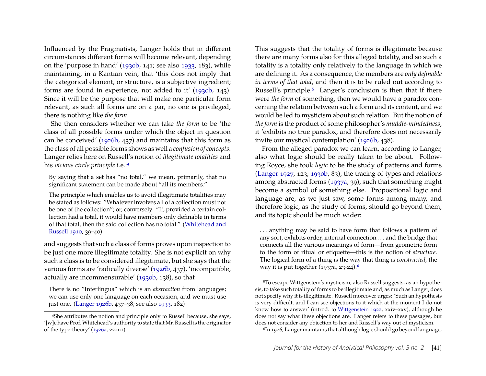Influenced by the Pragmatists, Langer holds that in different circumstances different forms will become relevant, depending on the 'purpose in hand' [\(1930b,](#page-12-0) 141; see also [1933,](#page-12-13) 183), while maintaining, in a Kantian vein, that 'this does not imply that the categorical element, or structure, is a subjective ingredient; forms are found in experience, not added to it' [\(1930b,](#page-12-0) 143). Since it will be the purpose that will make one particular form relevant, as such all forms are on a par, no one is privileged, there is nothing like *the form*.

She then considers whether we can take *the form* to be 'the class of all possible forms under which the object in question can be conceived' [\(1926b,](#page-12-15) 437) and maintains that this form as the class of all possible forms shows as well a *confusion of concepts*. Langer relies here on Russell's notion of *illegitimate totalities* and his *vicious circle principle* i.e.:[4](#page-4-0)

By saying that a set has "no total," we mean, primarily, that no significant statement can be made about "all its members."

The principle which enables us to avoid illegitimate totalities may be stated as follows: "Whatever involves all of a collection must not be one of the collection"; or, conversely: "If, provided a certain collection had a total, it would have members only definable in terms of that total, then the said collection has no total." [\(Whitehead and](#page-13-9) [Russell 1910,](#page-13-9) 39–40)

and suggests that such a class of forms proves upon inspection to be just one more illegitimate totality. She is not explicit on why such a class is to be considered illegitimate, but she says that the various forms are 'radically diverse' [\(1926b,](#page-12-15) 437), 'incompatible, actually are incommensurable' [\(1930b,](#page-12-0) 138), so that

There is no "Interlingua" which is an *abstraction* from languages; we can use only one language on each occasion, and we must use just one. [\(Langer 1926b,](#page-12-15) 437–38; see also [1933,](#page-12-13) 182)

This suggests that the totality of forms is illegitimate because there are many forms also for this alleged totality, and so such a totality is a totality only relatively to the language in which we are defining it. As a consequence, the members are *only definable in terms of that total*, and then it is to be ruled out according to Russell's principle.[5](#page-4-1) Langer's conclusion is then that if there were *the form* of something, then we would have a paradox concerning the relation between such a form and its content, and we would be led to mysticism about such relation. But the notion of *the form* is the product of some philosopher's *muddle-mindedness*, it 'exhibits no true paradox, and therefore does not necessarily invite our mystical contemplation' [\(1926b,](#page-12-15) 438).

From the alleged paradox we can learn, according to Langer, also what logic should be really taken to be about. Following Royce, she took *logic* to be the study of patterns and forms [\(Langer 1927,](#page-12-3) 123; [1930b,](#page-12-0) 83), the tracing of types and relations among abstracted forms [\(1937a,](#page-12-4) 39), such that something might become a symbol of something else. Propositional logic and language are, as we just saw, some forms among many, and therefore logic, as the study of forms, should go beyond them, and its topic should be much wider:

. . . anything may be said to have form that follows a pattern of any sort, exhibits order, internal connection . . . and the bridge that connects all the various meanings of form—from geometric form to the form of ritual or etiquette—this is the notion of *structure*. The logical form of a thing is the way that thing is *constructed*, the way it is put together  $(1937a, 23-24).^6$  $(1937a, 23-24).^6$ 

<span id="page-4-2"></span>6In 1926, Langer maintains that although logic should go beyond language,

<span id="page-4-0"></span><sup>4</sup>She attributes the notion and principle only to Russell because, she says, '[w]e have Prof.Whitehead's authority to state that Mr. Russell is the originator of the type-theory' [\(1926a,](#page-12-16) 222n1).

<span id="page-4-1"></span><sup>5</sup>To escape Wittgenstein's mysticism, also Russell suggests, as an hypothesis, to take such totality of forms to be illegitimate and, as much as Langer, does not specify why it is illegitimate. Russell moreover urges: 'Such an hypothesis is very difficult, and I can see objections to it which at the moment I do not know how to answer' (introd. to [Wittgenstein 1922,](#page-13-5) xxiv–xxv), although he does not say what these objections are. Langer refers to these passages, but does not consider any objection to her and Russell's way out of mysticism.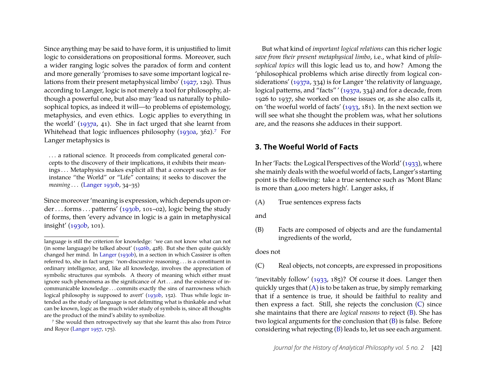Since anything may be said to have form, it is unjustified to limit logic to considerations on propositional forms. Moreover, such a wider ranging logic solves the paradox of form and content and more generally 'promises to save some important logical relations from their present metaphysical limbo' [\(1927,](#page-12-3) 129). Thus according to Langer, logic is not merely a tool for philosophy, although a powerful one, but also may 'lead us naturally to philosophical topics, as indeed it will—to problems of epistemology, metaphysics, and even ethics. Logic applies to everything in the world' [\(1937a,](#page-12-4) 41). She in fact urged that she learnt from Whitehead that logic influences philosophy [\(1930a,](#page-12-17) 362).<sup>[7](#page-5-1)</sup> For Langer metaphysics is

. . . a rational science. It proceeds from complicated general concepts to the discovery of their implications, it exhibits their meanings . . . Metaphysics makes explicit all that a concept such as for instance "the World" or "Life" contains; it seeks to discover the *meaning* . . . [\(Langer 1930b,](#page-12-0) 34–35)

Since moreover 'meaning is expression, which depends upon order . . . forms . . . patterns'  $(1930b, 101-02)$ , logic being the study of forms, then 'every advance in logic is a gain in metaphysical insight' [\(1930b,](#page-12-0) 101).

But what kind of *important logical relations* can this richer logic *save from their present metaphysical limbo*, i.e., what kind of *philosophical topics* will this logic lead us to, and how? Among the 'philosophical problems which arise directly from logical considerations' [\(1937a,](#page-12-4) 334) is for Langer 'the relativity of language, logical patterns, and "facts" ' [\(1937a,](#page-12-4) 334) and for a decade, from 1926 to 1937, she worked on those issues or, as she also calls it, on 'the woeful world of facts' [\(1933,](#page-12-13) 181). In the next section we will see what she thought the problem was, what her solutions are, and the reasons she adduces in their support.

#### <span id="page-5-0"></span>**3. The Woeful World of Facts**

In her 'Facts: the Logical Perspectives of theWorld' [\(1933\)](#page-12-13), where she mainly deals with the woeful world of facts, Langer's starting point is the following: take a true sentence such as 'Mont Blanc is more than 4,000 meters high'. Langer asks, if

- <span id="page-5-2"></span>(A) True sentences express facts
- and
- <span id="page-5-4"></span>(B) Facts are composed of objects and are the fundamental ingredients of the world,

#### does not

<span id="page-5-3"></span>(C) Real objects, not concepts, are expressed in propositions

'inevitably follow' [\(1933,](#page-12-13) 185)? Of course it does. Langer then quickly urges that  $(A)$  is to be taken as true, by simply remarking that if a sentence is true, it should be faithful to reality and then express a fact. Still, she rejects the conclusion [\(C\)](#page-5-3) since she maintains that there are *logical reasons* to reject [\(B\)](#page-5-4). She has two logical arguments for the conclusion that [\(B\)](#page-5-4) is false. Before considering what rejecting [\(B\)](#page-5-4) leads to, let us see each argument.

language is still the criterion for knowledge: 'we can not know what can not (in some language) be talked about'  $(1926b, 428)$ . But she then quite quickly changed her mind. In [Langer](#page-12-0) [\(1930b\)](#page-12-0), in a section in which Cassirer is often referred to, she in fact urges: 'non-discursive reasoning . . . is a constituent in ordinary intelligence, and, like all knowledge, involves the appreciation of symbolic structures *qua* symbols. A theory of meaning which either must ignore such phenomena as the significance of Art . . . and the existence of incommunicable knowledge . . . commits exactly the sins of narrowness which logical philosophy is supposed to avert' [\(1930b,](#page-12-0) 152). Thus while logic intended as the study of language is not delimiting what is thinkable and what can be known, logic as the much wider study of symbols is, since all thoughts are the product of the mind's ability to symbolize.

<span id="page-5-1"></span><sup>7</sup> She would then retrospectively say that she learnt this also from Peirce and Royce [\(Langer 1957,](#page-12-18) 175).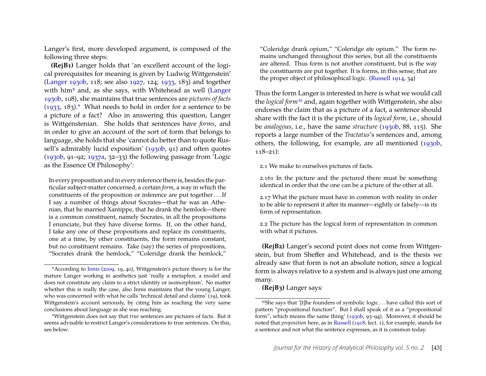Langer's first, more developed argument, is composed of the following three steps:

<span id="page-6-4"></span>**(RejB1)** Langer holds that 'an excellent account of the logical prerequisites for meaning is given by Ludwig Wittgenstein' [\(Langer 1930b,](#page-12-0) 118; see also [1927,](#page-12-3) 124; [1933,](#page-12-13) 183) and together with him<sup>[8](#page-6-0)</sup> and, as she says, with Whitehead as well [\(Langer](#page-12-0) [1930b,](#page-12-0) 108), she maintains that true sentences are *pictures of facts*  $(1933, 183)$  $(1933, 183)$ .<sup>[9](#page-6-1)</sup> What needs to hold in order for a sentence to be a picture of a fact? Also in answering this question, Langer is Wittgenstenian. She holds that sentences have *forms*, and in order to give an account of the sort of form that belongs to language, she holds that she 'cannot do better than to quote Rus-sell's admirably lucid exposition' [\(1930b,](#page-12-0) 91) and often quotes [\(1930b,](#page-12-0) 91–92; [1937a,](#page-12-4) 32–33) the following passage from 'Logic as the Essence Of Philosophy':

In every proposition and in every inference there is, besides the particular subject-matter concerned, a certain *form*, a way in which the constituents of the proposition or inference are put together . . . If I say a number of things about Socrates—that he was an Athenian, that he married Xantippe, that he drank the hemlock—there is a common constituent, namely Socrates, in all the propositions I enunciate, but they have diverse forms. If, on the other hand, I take any one of these propositions and replace its constituents, one at a time, by other constituents, the form remains constant, but no constituent remains. Take (say) the series of propositions, "Socrates drank the hemlock," "Coleridge drank the hemlock,"

"Coleridge drank opium," "Coleridge ate opium." The form remains unchanged throughout this series, but all the constituents are altered. Thus form is not another constituent, but is the way the constituents are put together. It is forms, in this sense, that are the proper object of philosophical logic. [\(Russell 1914,](#page-13-10) 34)

Thus the form Langer is interested in here is what we would call the *logical form*[10](#page-6-2) and, again together with Wittgenstein, she also endorses the claim that as a picture of a fact, a sentence should share with the fact it is the picture of its *logical form*, i.e., should be *analogous*, i.e., have the same *structure* [\(1930b,](#page-12-0) 88, 115). She reports a large number of the *Tractatus*'s sentences and, among others, the following, for example, are all mentioned [\(1930b,](#page-12-0) 118–21):

2.1 We make to ourselves pictures of facts.

2.161 In the picture and the pictured there must be something identical in order that the one can be a picture of the other at all.

2.17 What the picture must have in common with reality in order to be able to represent it after its manner—rightly or falsely—is its form of representation.

2.2 The picture has the logical form of representation in common with what it pictures.

<span id="page-6-3"></span>**(RejB2)** Langer's second point does not come from Wittgenstein, but from Sheffer and Whitehead, and is the thesis we already saw that form is not an absolute notion, since a logical form is always relative to a system and is always just one among many.

**(RejB3)** Langer says:

<span id="page-6-0"></span><sup>8</sup>According to [Innis](#page-12-14) [\(2009,](#page-12-14) 19, 40), Wittgenstein's picture theory is for the mature Langer working in aesthetics just 'really a metaphor, a model and does not constitute any claim to a strict identity or isomorphism'. No matter whether this is really the case, also Innis maintains that the young Langer, who was concerned with what he calls 'technical detail and claims' (19), took Wittgenstein's account seriously, by citing him as reaching the very same conclusions about language as she was reaching.

<span id="page-6-1"></span><sup>9</sup>Wittgenstein does not say that *true* sentences are pictures of facts. But it seems advisable to restrict Langer's considerations to true sentences. On this, see below.

<span id="page-6-2"></span><sup>10</sup>She says that '[t]he founders of symbolic logic . . . have called this sort of pattern "propositional function". But I shall speak of it as a "propositional form", which means the same thing' [\(1930b,](#page-12-0) 93–94). Moreover, it should be noted that *proposition* here, as in [Russell](#page-13-11) [\(1918,](#page-13-11) lect. 1), for example, stands for a sentence and not what the sentence expresses, as it is common today.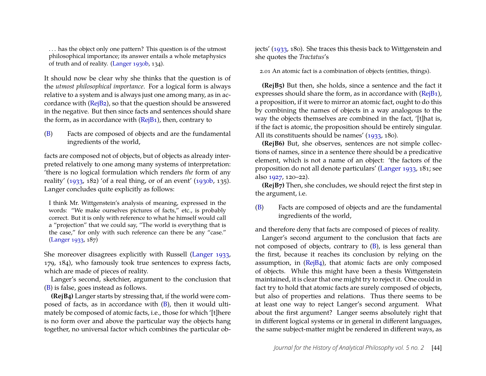. . . has the object only one pattern? This question is of the utmost philosophical importance; its answer entails a whole metaphysics of truth and of reality. [\(Langer 1930b,](#page-12-0) 134).

It should now be clear why she thinks that the question is of the *utmost philosophical importance*. For a logical form is always relative to a system and is always just one among many, as in accordance with [\(RejB2\)](#page-6-3), so that the question should be answered in the negative. But then since facts and sentences should share the form, as in accordance with [\(RejB1\)](#page-6-4), then, contrary to

[\(B\)](#page-5-4) Facts are composed of objects and are the fundamental ingredients of the world,

facts are composed not of objects, but of objects as already interpreted relatively to one among many systems of interpretation: 'there is no logical formulation which renders *the* form of any reality' [\(1933,](#page-12-13) 182) 'of a real thing, or of an event' [\(1930b,](#page-12-0) 135). Langer concludes quite explicitly as follows:

I think Mr. Wittgenstein's analysis of meaning, expressed in the words: "We make ourselves pictures of facts," etc., is probably correct. But it is only with reference to what he himself would call a "projection" that we could say, "The world is everything that is the case," for only with such reference can there be any "case." [\(Langer 1933,](#page-12-13) 187)

She moreover disagrees explicitly with Russell [\(Langer 1933,](#page-12-13) 179, 184), who famously took true sentences to express facts, which are made of pieces of reality.

Langer's second, sketchier, argument to the conclusion that [\(B\)](#page-5-4) is false, goes instead as follows.

<span id="page-7-0"></span>**(RejB4)** Langer starts by stressing that, if the world were composed of facts, as in accordance with [\(B\)](#page-5-4), then it would ultimately be composed of atomic facts, i.e., those for which '[t]here is no form over and above the particular way the objects hang together, no universal factor which combines the particular objects' [\(1933,](#page-12-13) 180). She traces this thesis back to Wittgenstein and she quotes the *Tractatus*'s

2.01 An atomic fact is a combination of objects (entities, things).

**(RejB5)** But then, she holds, since a sentence and the fact it expresses should share the form, as in accordance with [\(RejB1\)](#page-6-4), a proposition, if it were to mirror an atomic fact, ought to do this by combining the names of objects in a way analogous to the way the objects themselves are combined in the fact, '[t]hat is, if the fact is atomic, the proposition should be entirely singular. All its constituents should be names' [\(1933,](#page-12-13) 180).

**(RejB6)** But, she observes, sentences are not simple collections of names, since in a sentence there should be a predicative element, which is not a name of an object: 'the factors of the proposition do not all denote particulars' [\(Langer 1933,](#page-12-13) 181; see also [1927,](#page-12-3) 120–22).

**(RejB7)** Then, she concludes, we should reject the first step in the argument, i.e.

[\(B\)](#page-5-4) Facts are composed of objects and are the fundamental ingredients of the world,

and therefore deny that facts are composed of pieces of reality.

Langer's second argument to the conclusion that facts are not composed of objects, contrary to [\(B\)](#page-5-4), is less general than the first, because it reaches its conclusion by relying on the assumption, in [\(RejB4\)](#page-7-0), that atomic facts are only composed of objects. While this might have been a thesis Wittgenstein maintained, it is clear that one might try to reject it. One could in fact try to hold that atomic facts are surely composed of objects, but also of properties and relations. Thus there seems to be at least one way to reject Langer's second argument. What about the first argument? Langer seems absolutely right that in different logical systems or in general in different languages, the same subject-matter might be rendered in different ways, as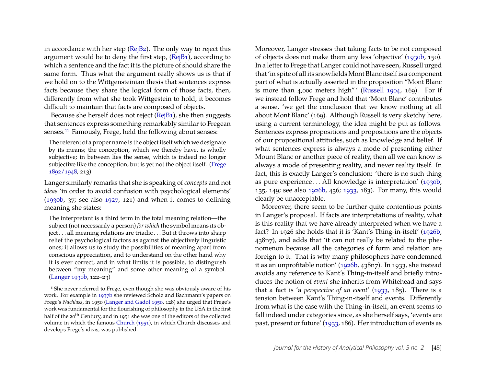in accordance with her step [\(RejB2\)](#page-6-3). The only way to reject this argument would be to deny the first step, [\(RejB1\)](#page-6-4), according to which a sentence and the fact it is the picture of should share the same form. Thus what the argument really shows us is that if we hold on to the Wittgensteinian thesis that sentences express facts because they share the logical form of those facts, then, differently from what she took Wittgestein to hold, it becomes difficult to maintain that facts are composed of objects.

Because she herself does not reject [\(RejB1\)](#page-6-4), she then suggests that sentences express something remarkably similar to Fregean senses.<sup>[11](#page-8-0)</sup> Famously, Frege, held the following about senses:

The referent of a proper name is the object itself which we designate by its means; the conception, which we thereby have, is wholly subjective; in between lies the sense, which is indeed no longer subjective like the conception, but is yet not the object itself. [\(Frege](#page-12-19) [1892/1948,](#page-12-19) 213)

Langer similarly remarks that she is speaking of *concepts* and not *ideas* 'in order to avoid confusion with psychological elements'  $(1930b, 37)$  $(1930b, 37)$ ; see also  $1927, 121$  $1927, 121$  and when it comes to defining meaning she states:

The interpretant is a third term in the total meaning relation—the subject (not necessarily a person) *for which* the symbol means its object . . . all meaning relations are triadic . . . But it throws into sharp relief the psychological factors as against the objectively linguistic ones; it allows us to study the possibilities of meaning apart from conscious appreciation, and to understand on the other hand why it is ever correct, and in what limits it is possible, to distinguish between "my meaning" and some other meaning of a symbol. [\(Langer 1930b,](#page-12-0) 122–23)

Moreover, Langer stresses that taking facts to be not composed of objects does not make them any less 'objective' [\(1930b,](#page-12-0) 150). In a letter to Frege that Langer could not have seen, Russell urged that 'in spite of all its snowfields Mont Blanc itself is a component part of what is actually asserted in the proposition "Mont Blanc is more than 4,000 meters high" [\(Russell 1904,](#page-13-12) 169). For if we instead follow Frege and hold that 'Mont Blanc' contributes a sense, 'we get the conclusion that we know nothing at all about Mont Blanc' (169). Although Russell is very sketchy here, using a current terminology, the idea might be put as follows. Sentences express propositions and propositions are the objects of our propositional attitudes, such as knowledge and belief. If what sentences express is always a mode of presenting either Mount Blanc or another piece of reality, then all we can know is always a mode of presenting reality, and never reality itself. In fact, this is exactly Langer's conclusion: 'there is no such thing as pure experience . . . All knowledge is interpretation' [\(1930b,](#page-12-0) 135, 149; see also [1926b,](#page-12-15) 436; [1933,](#page-12-13) 183). For many, this would clearly be unacceptable.

Moreover, there seem to be further quite contentious points in Langer's proposal. If facts are interpretations of reality, what is this reality that we have already interpreted when we have a fact? In 1926 she holds that it is 'Kant's Thing-in-itself' [\(1926b,](#page-12-15) 438n7), and adds that 'it can not really be related to the phenomenon because all the categories of form and relation are foreign to it. That is why many philosophers have condemned it as an unprofitable notion' [\(1926b,](#page-12-15) 438n7). In 1933, she instead avoids any reference to Kant's Thing-in-itself and briefly introduces the notion of *event* she inherits from Whitehead and says that a fact is 'a *perspective of an event*' [\(1933,](#page-12-13) 185). There is a tension between Kant's Thing-in-itself and events. Differently from what is the case with the Thing-in-itself, an event seems to fall indeed under categories since, as she herself says, 'events are past, present or future' [\(1933,](#page-12-13) 186). Her introduction of events as

<span id="page-8-0"></span><sup>11</sup>She never referred to Frege, even though she was obviously aware of his work. For example in [1937b](#page-12-20) she reviewed Scholz and Bachmann's papers on Frege's *Nachlass*, in 1950 [\(Langer and Gadol 1950,](#page-13-2) 128) she urged that Frege's work was fundamental for the flourishing of philosophy in the USA in the first half of the 20<sup>th</sup> Century, and in 1951 she was one of the editors of the collected volume in which the famous [Church](#page-12-21) [\(1951\)](#page-12-21), in which Church discusses and develops Frege's ideas, was published.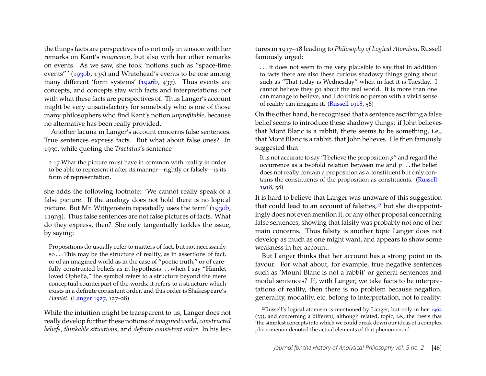the things facts are perspectives of is not only in tension with her remarks on Kant's *noumenon*, but also with her other remarks on events. As we saw, she took 'notions such as "space-time events" ' [\(1930b,](#page-12-0) 135) and Whitehead's events to be one among many different 'form systems' [\(1926b,](#page-12-15) 437). Thus events are concepts, and concepts stay with facts and interpretations, not with what these facts are perspectives of. Thus Langer's account might be very unsatisfactory for somebody who is one of those many philosophers who find Kant's notion *unprofitable*, because no alternative has been really provided.

Another lacuna in Langer's account concerns false sentences. True sentences express facts. But what about false ones? In 1930, while quoting the *Tractatus*'s sentence

2.17 What the picture must have in common with reality in order to be able to represent it after its manner—rightly or falsely—is its form of representation.

she adds the following footnote: 'We cannot really speak of a false picture. If the analogy does not hold there is no logical picture. But Mr. Wittgenstein repeatedly uses the term' [\(1930b,](#page-12-0) 119n3). Thus false sentences are not false pictures of facts. What do they express, then? She only tangentially tackles the issue, by saying:

Propositions do usually refer to matters of fact, but not necessarily so . . . This may be the structure of reality, as in assertions of fact, or of an imagined world as in the case of "poetic truth," or of carefully constructed beliefs as in hypothesis . . . when I say "Hamlet loved Ophelia," the symbol refers to a structure beyond the mere conceptual counterpart of the words; it refers to a structure which exists in a definite consistent order, and this order is Shakespeare's *Hamlet*. [\(Langer 1927,](#page-12-3) 127–28)

While the intuition might be transparent to us, Langer does not really develop further these notions of *imagined world*, *constructed beliefs*, *thinkable situations*, and *definite consistent order*. In his lectures in 1917–18 leading to *Philosophy of Logical Atomism*, Russell famously urged:

. . . it does not seem to me very plausible to say that in addition to facts there are also these curious shadowy things going about such as "That today is Wednesday" when in fact it is Tuesday. I cannot believe they go about the real world. It is more than one can manage to believe, and I do think no person with a vivid sense of reality can imagine it. [\(Russell 1918,](#page-13-11) 56)

On the other hand, he recognised that a sentence ascribing a false belief seems to introduce these shadowy things: if John believes that Mont Blanc is a rabbit, there seems to be something, i.e., that Mont Blanc is a rabbit, that John believes. He then famously suggested that

It is not accurate to say "I believe the proposition *p*" and regard the occurrence as a twofold relation between me and *p* . . . the belief does not really contain a proposition as a constituent but only contains the constituents of the proposition as constituents. [\(Russell](#page-13-11) [1918,](#page-13-11) 58)

It is hard to believe that Langer was unaware of this suggestion that could lead to an account of falsities,<sup>[12](#page-9-0)</sup> but she disappointingly does not even mention it, or any other proposal concerning false sentences, showing that falsity was probably not one of her main concerns. Thus falsity is another topic Langer does not develop as much as one might want, and appears to show some weakness in her account.

But Langer thinks that her account has a strong point in its favour. For what about, for example, true negative sentences such as 'Mount Blanc is not a rabbit' or general sentences and modal sentences? If, with Langer, we take facts to be interpretations of reality, then there is no problem because negation, generality, modality, etc. belong to interpretation, not to reality:

<span id="page-9-0"></span><sup>12</sup>Russell's logical atomism is mentioned by Langer, but only in her [1962](#page-12-7) (33), and concerning a different, although related, topic, i.e., the thesis that 'the simplest concepts into which we could break down our ideas of a complex phenomenon denoted the actual elements of that phenomenon'.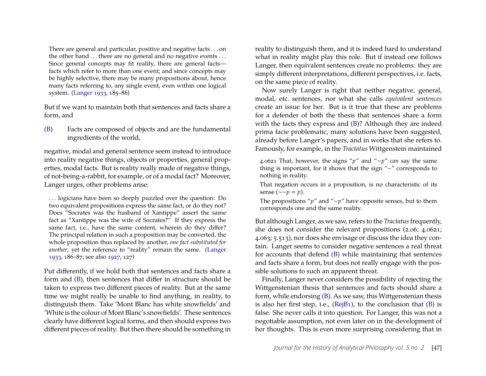There are general and particular, positive and negative facts . . . on the other hand . . . there are no general and no negative events . . . Since general concepts may fit reality, there are general facts facts which refer to more than one event; and since concepts may be highly selective, there may be many propositions about, hence many facts referring to, any single event, even within one logical system. [\(Langer 1933,](#page-12-13) 185–86)

But if we want to maintain both that sentences and facts share a form, and

[\(B\)](#page-5-4) Facts are composed of objects and are the fundamental ingredients of the world,

negative, modal and general sentence seem instead to introduce into reality negative things, objects or properties, general properties, modal facts. But is reality really made of negative things, of not-being-a-rabbit, for example, or of a modal fact? Moreover, Langer urges, other problems arise:

. . . logicians have been so deeply puzzled over the question: Do two equivalent propositions express the same fact, or do they not? Does "Socrates was the husband of Xantippe" assert the same fact as "Xantippe was the wife of Socrates?" If they express the same fact, i.e., have the same content, wherein do they differ? The principal relation in such a proposition may be converted, the whole proposition thus replaced by another, *one fact substituted for another*, yet the reference to "reality" remain the same. [\(Langer](#page-12-13) [1933,](#page-12-13) 186–87; see also [1927,](#page-12-3) 127)

Put differently, if we hold both that sentences and facts share a form and [\(B\)](#page-5-4), then sentences that differ in structure should be taken to express two different pieces of reality. But at the same time we might really be unable to find anything, in reality, to distinguish them. Take 'Mont Blanc has white snowfields' and 'White is the colour ofMont Blanc's snowfields'. These sentences clearly have different logical forms, and then should express two different pieces of reality. But then there should be something in reality to distinguish them, and it is indeed hard to understand what in reality might play this role. But if instead one follows Langer, then equivalent sentences create no problems: they are simply different interpretations, different perspectives, i.e. facts, on the same piece of reality.

Now surely Langer is right that neither negative, general, modal, etc. sentences, nor what she calls *equivalent sentences* create an issue for her. But is it true that these are problems for a defender of both the thesis that sentences share a form with the facts they express and [\(B\)](#page-5-4)? Although they are indeed prima facie problematic, many solutions have been suggested, already before Langer's papers, and in works that she refers to. Famously, for example, in the *Tractatus* Wittgenstein maintained

4.0621 That, however, the signs "*p*" and "∼*p*" *can* say the same thing is important, for it shows that the sign "∼" corresponds to nothing in reality.

That negation occurs in a proposition, is no characteristic of its sense (∼∼*p* = *p*).

The propositions "*p*" and "∼*p*" have opposite senses, but to them corresponds one and the same reality.

But although Langer, as we saw, refers to the *Tractatus*frequently, she does not consider the relevant propositions (2.06; 4.0621; 4.063; 5.513), nor does she envisage or discuss the idea they contain. Langer seems to consider negative sentences a real threat for accounts that defend [\(B\)](#page-5-4) while maintaining that sentences and facts share a form, but does not really engage with the possible solutions to such an apparent threat.

Finally, Langer never considers the possibility of rejecting the Wittgenstenian thesis that sentences and facts should share a form, while endorsing [\(B\)](#page-5-4). As we saw, this Wittgenstenian thesis is also her first step, i.e.,  $(RejB_1)$ , to the conclusion that  $(B)$  is false. She never calls it into question. For Langer, this was not a negotiable assumption, not even later on in the development of her thoughts. This is even more surprising considering that in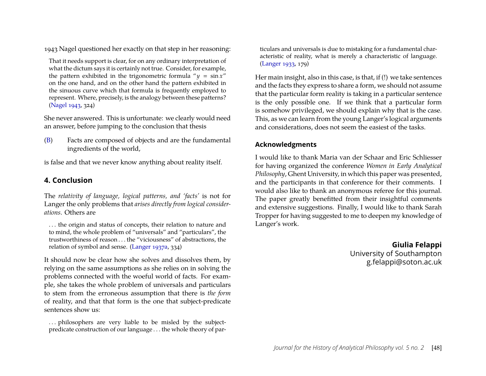1943 Nagel questioned her exactly on that step in her reasoning:

That it needs support is clear, for on any ordinary interpretation of what the dictum says it is certainly not true. Consider, for example, the pattern exhibited in the trigonometric formula " $y = \sin x$ " on the one hand, and on the other hand the pattern exhibited in the sinuous curve which that formula is frequently employed to represent. Where, precisely, is the analogy between these patterns? [\(Nagel 1943,](#page-13-13) 324)

She never answered. This is unfortunate: we clearly would need an answer, before jumping to the conclusion that thesis

[\(B\)](#page-5-4) Facts are composed of objects and are the fundamental ingredients of the world,

is false and that we never know anything about reality itself.

# **4. Conclusion**

The *relativity of language, logical patterns, and 'facts'* is not for Langer the only problems that *arises directly from logical considerations*. Others are

. . . the origin and status of concepts, their relation to nature and to mind, the whole problem of "universals" and "particulars", the trustworthiness of reason . . . the "viciousness" of abstractions, the relation of symbol and sense. [\(Langer 1937a,](#page-12-4) 334)

It should now be clear how she solves and dissolves them, by relying on the same assumptions as she relies on in solving the problems connected with the woeful world of facts. For example, she takes the whole problem of universals and particulars to stem from the erroneous assumption that there is *the form* of reality, and that that form is the one that subject-predicate sentences show us:

... philosophers are very liable to be misled by the subjectpredicate construction of our language . . . the whole theory of par-

ticulars and universals is due to mistaking for a fundamental characteristic of reality, what is merely a characteristic of language. [\(Langer 1933,](#page-12-13) 179)

Her main insight, also in this case, is that, if (!) we take sentences and the facts they express to share a form, we should not assume that the particular form reality is taking in a particular sentence is the only possible one. If we think that a particular form is somehow privileged, we should explain why that is the case. This, as we can learn from the young Langer's logical arguments and considerations, does not seem the easiest of the tasks.

### **Acknowledgments**

I would like to thank Maria van der Schaar and Eric Schliesser for having organized the conference *Women in Early Analytical Philosophy*, Ghent University, in which this paper was presented, and the participants in that conference for their comments. I would also like to thank an anonymous referee for this journal. The paper greatly benefitted from their insightful comments and extensive suggestions. Finally, I would like to thank Sarah Tropper for having suggested to me to deepen my knowledge of Langer's work.

> **Giulia Felappi** University of Southampton g.felappi@soton.ac.uk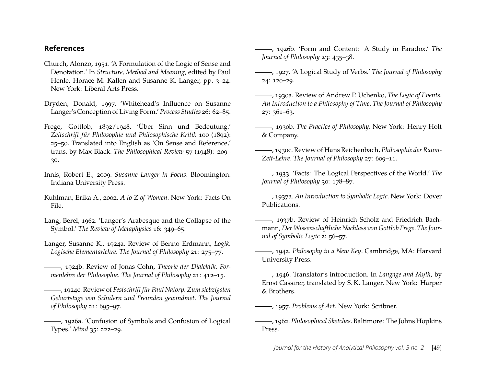#### **References**

- <span id="page-12-21"></span>Church, Alonzo, 1951. 'A Formulation of the Logic of Sense and Denotation.' In *Structure, Method and Meaning*, edited by Paul Henle, Horace M. Kallen and Susanne K. Langer, pp. 3–24. New York: Liberal Arts Press.
- <span id="page-12-5"></span>Dryden, Donald, 1997. 'Whitehead's Influence on Susanne Langer's Conception of Living Form.' *Process Studies* 26: 62–85.
- <span id="page-12-19"></span>Frege, Gottlob, 1892/1948. 'Über Sinn und Bedeutung.' *Zeitschrift für Philosophie und Philosophische Kritik* 100 (1892): 25–50. Translated into English as 'On Sense and Reference,' trans. by Max Black. *The Philosophical Review* 57 (1948): 209– 30.
- <span id="page-12-14"></span>Innis, Robert E., 2009. *Susanne Langer in Focus*. Bloomington: Indiana University Press.
- <span id="page-12-6"></span>Kuhlman, Erika A., 2002. *A to Z of Women*. New York: Facts On File.
- <span id="page-12-2"></span>Lang, Berel, 1962. 'Langer's Arabesque and the Collapse of the Symbol.' *The Review of Metaphysics* 16: 349–65.
- <span id="page-12-8"></span>Langer, Susanne K., 1924a. Review of Benno Erdmann, *Logik. Logische Elementarlehre*. *The Journal of Philosophy* 21: 275–77.
- <span id="page-12-9"></span>, 1924b. Review of Jonas Cohn, *Theorie der Dialektik. Formenlehre der Philosophie*. *The Journal of Philosophy* 21: 412–15.
- <span id="page-12-10"></span>, 1924c. Review of *Festschrift für Paul Natorp. Zum siebzigsten Geburtstage von Schülern und Freunden gewindmet*. *The Journal of Philosophy* 21: 695–97.
- <span id="page-12-16"></span>, 1926a. 'Confusion of Symbols and Confusion of Logical Types.' *Mind* 35: 222–29.
- <span id="page-12-15"></span>, 1926b. 'Form and Content: A Study in Paradox.' *The Journal of Philosophy* 23: 435–38.
- <span id="page-12-3"></span>, 1927. 'A Logical Study of Verbs.' *The Journal of Philosophy* 24: 120–29.
- <span id="page-12-17"></span>, 1930a. Review of Andrew P. Uchenko, *The Logic of Events. An Introduction to a Philosophy of Time*. *The Journal of Philosophy* 27: 361–63.
- <span id="page-12-0"></span>, 1930b. *The Practice of Philosophy*. New York: Henry Holt & Company.
- <span id="page-12-12"></span>, 1930c. Review of Hans Reichenbach, *Philosophie der Raum-Zeit-Lehre*. *The Journal of Philosophy* 27: 609–11.
- <span id="page-12-13"></span>, 1933. 'Facts: The Logical Perspectives of the World.' *The Journal of Philosophy* 30: 178–87.
- <span id="page-12-4"></span>, 1937a. *An Introduction to Symbolic Logic*. New York: Dover Publications.
- <span id="page-12-20"></span>, 1937b. Review of Heinrich Scholz and Friedrich Bachmann, *Der Wissenschaftliche Nachlass von Gottlob Frege*. *The Journal of Symbolic Logic* 2: 56–57.
- <span id="page-12-1"></span>, 1942. *Philosophy in a New Key*. Cambridge, MA: Harvard University Press.
- <span id="page-12-11"></span>, 1946. Translator's introduction. In *Langage and Myth*, by Ernst Cassirer, translated by S. K. Langer. New York: Harper & Brothers.

<span id="page-12-18"></span>, 1957. *Problems of Art*. New York: Scribner.

<span id="page-12-7"></span>, 1962. *Philosophical Sketches*. Baltimore: The Johns Hopkins Press.